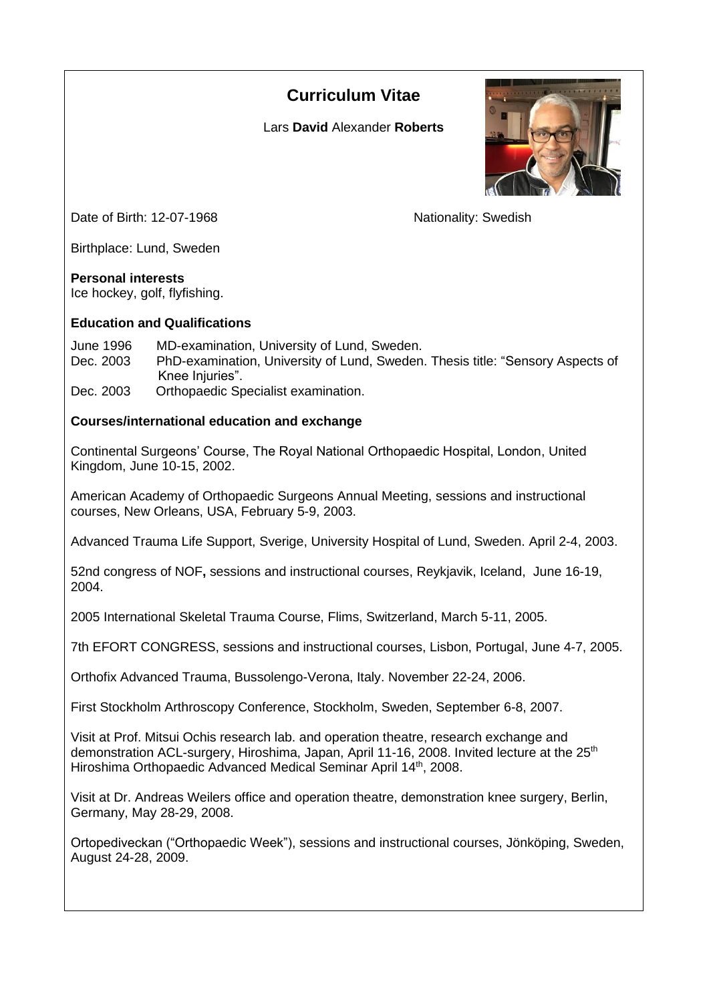# **Curriculum Vitae**

Lars **David** Alexander **Roberts**



Date of Birth: 12-07-1968 Nationality: Swedish

Birthplace: Lund, Sweden

## **Personal interests**

Ice hockey, golf, flyfishing.

## **Education and Qualifications**

June 1996 MD-examination, University of Lund, Sweden. Dec. 2003 PhD-examination, University of Lund, Sweden. Thesis title: "Sensory Aspects of Knee Injuries".

Orthopaedic Specialist examination.

# **Courses/international education and exchange**

Continental Surgeons' Course, The Royal National Orthopaedic Hospital, London, United Kingdom, June 10-15, 2002.

American Academy of Orthopaedic Surgeons Annual Meeting, sessions and instructional courses, New Orleans, USA, February 5-9, 2003.

Advanced Trauma Life Support, Sverige, University Hospital of Lund, Sweden. April 2-4, 2003.

52nd congress of NOF**,** sessions and instructional courses, Reykjavik, Iceland, June 16-19, 2004.

2005 International Skeletal Trauma Course, Flims, Switzerland, March 5-11, 2005.

7th EFORT CONGRESS, sessions and instructional courses, Lisbon, Portugal, June 4-7, 2005.

Orthofix Advanced Trauma, Bussolengo-Verona, Italy. November 22-24, 2006.

First Stockholm Arthroscopy Conference, Stockholm, Sweden, September 6-8, 2007.

Visit at Prof. Mitsui Ochis research lab. and operation theatre, research exchange and demonstration ACL-surgery, Hiroshima, Japan, April 11-16, 2008. Invited lecture at the 25<sup>th</sup> Hiroshima Orthopaedic Advanced Medical Seminar April 14<sup>th</sup>, 2008.

Visit at Dr. Andreas Weilers office and operation theatre, demonstration knee surgery, Berlin, Germany, May 28-29, 2008.

Ortopediveckan ("Orthopaedic Week"), sessions and instructional courses, Jönköping, Sweden, August 24-28, 2009.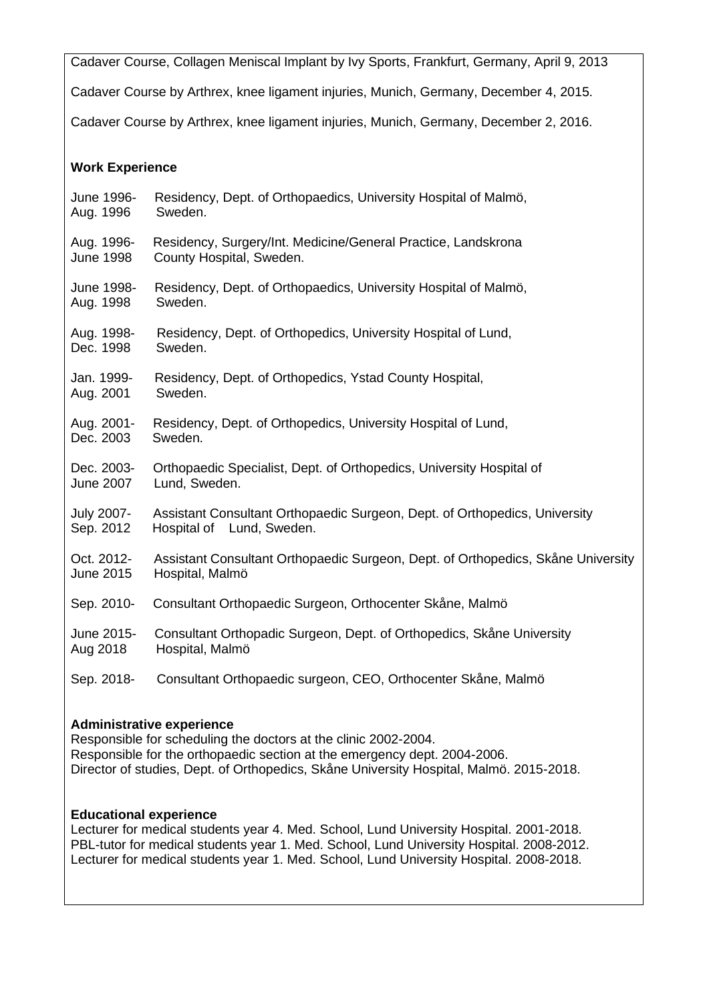Cadaver Course, Collagen Meniscal Implant by Ivy Sports, Frankfurt, Germany, April 9, 2013

Cadaver Course by Arthrex, knee ligament injuries, Munich, Germany, December 4, 2015.

Cadaver Course by Arthrex, knee ligament injuries, Munich, Germany, December 2, 2016.

### **Work Experience**

| June 1996-        | Residency, Dept. of Orthopaedics, University Hospital of Malmö,                  |
|-------------------|----------------------------------------------------------------------------------|
| Aug. 1996         | Sweden.                                                                          |
| Aug. 1996-        | Residency, Surgery/Int. Medicine/General Practice, Landskrona                    |
| <b>June 1998</b>  | County Hospital, Sweden.                                                         |
| June 1998-        | Residency, Dept. of Orthopaedics, University Hospital of Malmö,                  |
| Aug. 1998         | Sweden.                                                                          |
| Aug. 1998-        | Residency, Dept. of Orthopedics, University Hospital of Lund,                    |
| Dec. 1998         | Sweden.                                                                          |
| Jan. 1999-        | Residency, Dept. of Orthopedics, Ystad County Hospital,                          |
| Aug. 2001         | Sweden.                                                                          |
| Aug. 2001-        | Residency, Dept. of Orthopedics, University Hospital of Lund,                    |
| Dec. 2003         | Sweden.                                                                          |
| Dec. 2003-        | Orthopaedic Specialist, Dept. of Orthopedics, University Hospital of             |
| June 2007         | Lund, Sweden.                                                                    |
| <b>July 2007-</b> | Assistant Consultant Orthopaedic Surgeon, Dept. of Orthopedics, University       |
| Sep. 2012         | Hospital of Lund, Sweden.                                                        |
| Oct. 2012-        | Assistant Consultant Orthopaedic Surgeon, Dept. of Orthopedics, Skåne University |
| June 2015         | Hospital, Malmö                                                                  |
| Sep. 2010-        | Consultant Orthopaedic Surgeon, Orthocenter Skåne, Malmö                         |
| June 2015-        | Consultant Orthopadic Surgeon, Dept. of Orthopedics, Skåne University            |
| Aug 2018          | Hospital, Malmö                                                                  |
| Sep. 2018-        | Consultant Orthopaedic surgeon, CEO, Orthocenter Skåne, Malmö                    |

# **Administrative experience**

Responsible for scheduling the doctors at the clinic 2002-2004. Responsible for the orthopaedic section at the emergency dept. 2004-2006. Director of studies, Dept. of Orthopedics, Skåne University Hospital, Malmö. 2015-2018.

### **Educational experience**

Lecturer for medical students year 4. Med. School, Lund University Hospital. 2001-2018. PBL-tutor for medical students year 1. Med. School, Lund University Hospital. 2008-2012. Lecturer for medical students year 1. Med. School, Lund University Hospital. 2008-2018.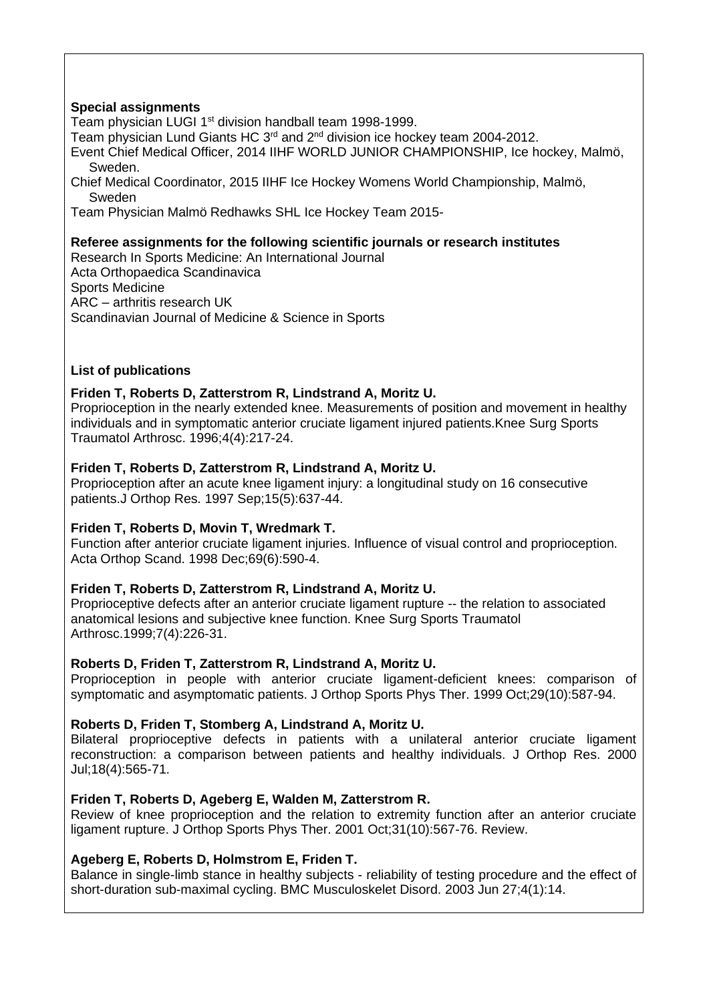# **Special assignments**

Team physician LUGI 1<sup>st</sup> division handball team 1998-1999.

Team physician Lund Giants HC  $3<sup>rd</sup>$  and  $2<sup>nd</sup>$  division ice hockey team 2004-2012.

Event Chief Medical Officer, 2014 IIHF WORLD JUNIOR CHAMPIONSHIP, Ice hockey, Malmö, Sweden.

Chief Medical Coordinator, 2015 IIHF Ice Hockey Womens World Championship, Malmö, Sweden

Team Physician Malmö Redhawks SHL Ice Hockey Team 2015-

#### **Referee assignments for the following scientific journals or research institutes**

Research In Sports Medicine: An International Journal Acta Orthopaedica Scandinavica Sports Medicine ARC – arthritis research UK Scandinavian Journal of Medicine & Science in Sports

#### **List of publications**

#### **[Friden T, Roberts D, Zatterstrom R, Lindstrand A, Moritz U.](http://www.ncbi.nlm.nih.gov/entrez/query.fcgi?cmd=Retrieve&db=pubmed&dopt=Abstract&list_uids=9046506)**

Proprioception in the nearly extended knee. Measurements of position and movement in healthy individuals and in symptomatic anterior cruciate ligament injured patients.Knee Surg Sports Traumatol Arthrosc. 1996;4(4):217-24.

## **[Friden T, Roberts D, Zatterstrom R, Lindstrand A, Moritz U.](http://www.ncbi.nlm.nih.gov/entrez/query.fcgi?cmd=Retrieve&db=pubmed&dopt=Abstract&list_uids=9420590)**

Proprioception after an acute knee ligament injury: a longitudinal study on 16 consecutive patients.J Orthop Res. 1997 Sep;15(5):637-44.

#### **[Friden T, Roberts D, Movin T, Wredmark T.](http://www.ncbi.nlm.nih.gov/entrez/query.fcgi?cmd=Retrieve&db=pubmed&dopt=Abstract&list_uids=9930103)**

Function after anterior cruciate ligament injuries. Influence of visual control and proprioception. Acta Orthop Scand. 1998 Dec;69(6):590-4.

# **Friden T, Roberts D, Zatterstrom R, Lindstrand A, Moritz U.**

Proprioceptive defects after an anterior cruciate ligament rupture -- the relation to associated anatomical lesions and subjective knee function. Knee Surg Sports Traumatol Arthrosc.1999;7(4):226-31.

#### **Roberts D, Friden T, Zatterstrom R, Lindstrand A, Moritz U.**

Proprioception in people with anterior cruciate ligament-deficient knees: comparison of symptomatic and asymptomatic patients. J Orthop Sports Phys Ther. 1999 Oct;29(10):587-94.

#### **Roberts D, Friden T, Stomberg A, Lindstrand A, Moritz U.**

Bilateral proprioceptive defects in patients with a unilateral anterior cruciate ligament reconstruction: a comparison between patients and healthy individuals. J Orthop Res. 2000 Jul;18(4):565-71.

#### **[Friden T, Roberts D, Ageberg E, Walden M, Zatterstrom R.](http://www.ncbi.nlm.nih.gov/entrez/query.fcgi?cmd=Retrieve&db=pubmed&dopt=Abstract&list_uids=11665744)**

Review of knee proprioception and the relation to extremity function after an anterior cruciate ligament rupture. J Orthop Sports Phys Ther. 2001 Oct;31(10):567-76. Review.

#### **[Ageberg E, Roberts D, Holmstrom E, Friden T.](http://www.ncbi.nlm.nih.gov/entrez/query.fcgi?cmd=Retrieve&db=pubmed&dopt=Abstract&list_uids=12831402)**

Balance in single-limb stance in healthy subjects - reliability of testing procedure and the effect of short-duration sub-maximal cycling. BMC Musculoskelet Disord. 2003 Jun 27;4(1):14.